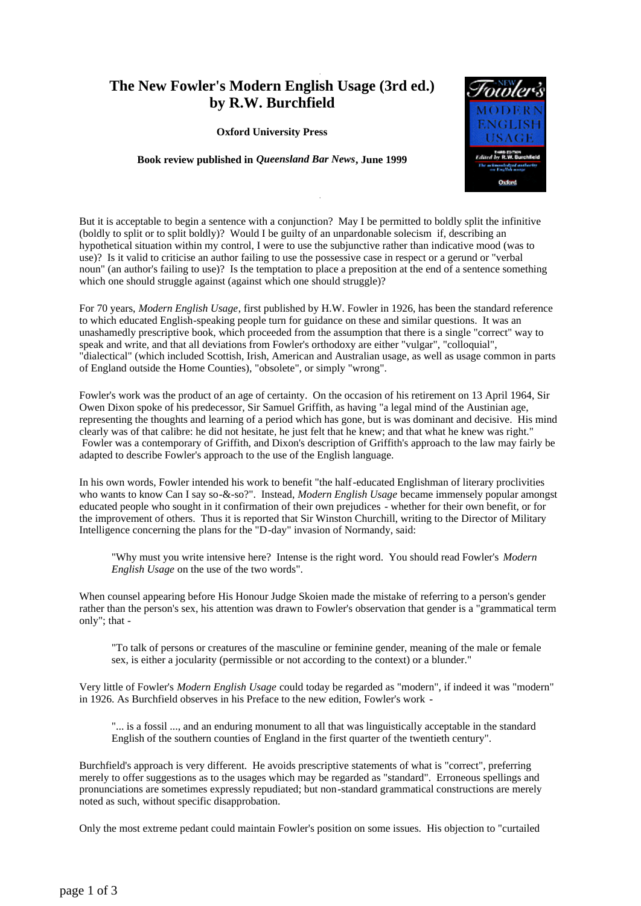## **The New Fowler's Modern English Usage (3rd ed.) by R.W. Burchfield**

**Oxford University Press**

**Book review published in** *Queensland Bar News***, June 1999**



But it is acceptable to begin a sentence with a conjunction? May I be permitted to boldly split the infinitive (boldly to split or to split boldly)? Would I be guilty of an unpardonable solecism if, describing an hypothetical situation within my control, I were to use the subjunctive rather than indicative mood (was to use)? Is it valid to criticise an author failing to use the possessive case in respect or a gerund or "verbal noun" (an author's failing to use)? Is the temptation to place a preposition at the end of a sentence something which one should struggle against (against which one should struggle)?

.

.

For 70 years, *Modern English Usage*, first published by H.W. Fowler in 1926, has been the standard reference to which educated English-speaking people turn for guidance on these and similar questions. It was an unashamedly prescriptive book, which proceeded from the assumption that there is a single "correct" way to speak and write, and that all deviations from Fowler's orthodoxy are either "vulgar", "colloquial", "dialectical" (which included Scottish, Irish, American and Australian usage, as well as usage common in parts of England outside the Home Counties), "obsolete", or simply "wrong".

Fowler's work was the product of an age of certainty. On the occasion of his retirement on 13 April 1964, Sir Owen Dixon spoke of his predecessor, Sir Samuel Griffith, as having "a legal mind of the Austinian age, representing the thoughts and learning of a period which has gone, but is was dominant and decisive. His mind clearly was of that calibre: he did not hesitate, he just felt that he knew; and that what he knew was right." Fowler was a contemporary of Griffith, and Dixon's description of Griffith's approach to the law may fairly be adapted to describe Fowler's approach to the use of the English language.

In his own words, Fowler intended his work to benefit "the half-educated Englishman of literary proclivities who wants to know Can I say so-&-so?". Instead, *Modern English Usage* became immensely popular amongst educated people who sought in it confirmation of their own prejudices - whether for their own benefit, or for the improvement of others. Thus it is reported that Sir Winston Churchill, writing to the Director of Military Intelligence concerning the plans for the "D-day" invasion of Normandy, said:

"Why must you write intensive here? Intense is the right word. You should read Fowler's *Modern English Usage* on the use of the two words".

When counsel appearing before His Honour Judge Skoien made the mistake of referring to a person's gender rather than the person's sex, his attention was drawn to Fowler's observation that gender is a "grammatical term only"; that -

"To talk of persons or creatures of the masculine or feminine gender, meaning of the male or female sex, is either a jocularity (permissible or not according to the context) or a blunder."

Very little of Fowler's *Modern English Usage* could today be regarded as "modern", if indeed it was "modern" in 1926. As Burchfield observes in his Preface to the new edition, Fowler's work -

"... is a fossil ..., and an enduring monument to all that was linguistically acceptable in the standard English of the southern counties of England in the first quarter of the twentieth century".

Burchfield's approach is very different. He avoids prescriptive statements of what is "correct", preferring merely to offer suggestions as to the usages which may be regarded as "standard". Erroneous spellings and pronunciations are sometimes expressly repudiated; but non-standard grammatical constructions are merely noted as such, without specific disapprobation.

Only the most extreme pedant could maintain Fowler's position on some issues. His objection to "curtailed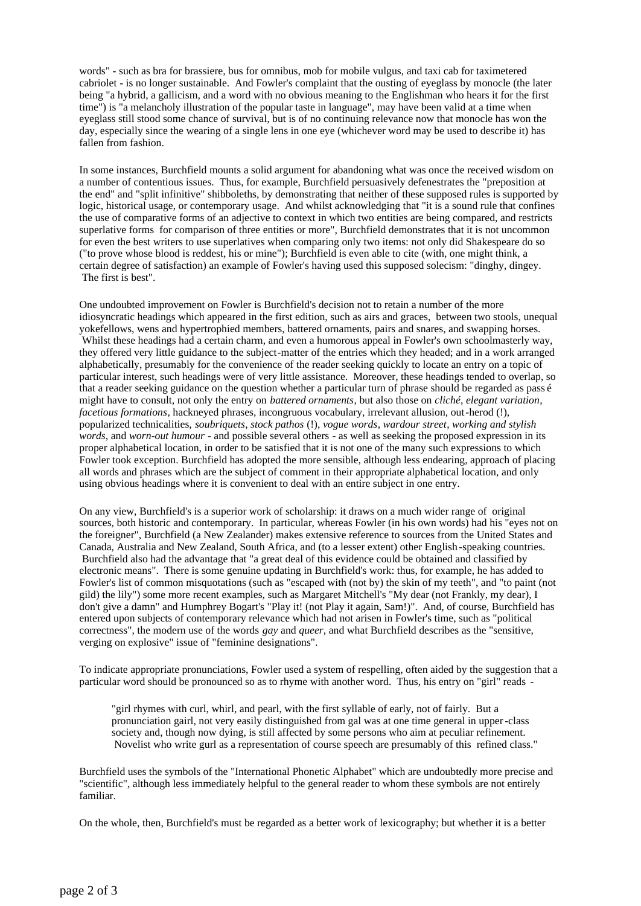words" - such as bra for brassiere, bus for omnibus, mob for mobile vulgus, and taxi cab for taximetered cabriolet - is no longer sustainable. And Fowler's complaint that the ousting of eyeglass by monocle (the later being "a hybrid, a gallicism, and a word with no obvious meaning to the Englishman who hears it for the first time") is "a melancholy illustration of the popular taste in language", may have been valid at a time when eyeglass still stood some chance of survival, but is of no continuing relevance now that monocle has won the day, especially since the wearing of a single lens in one eye (whichever word may be used to describe it) has fallen from fashion.

In some instances, Burchfield mounts a solid argument for abandoning what was once the received wisdom on a number of contentious issues. Thus, for example, Burchfield persuasively defenestrates the "preposition at the end" and "split infinitive" shibboleths, by demonstrating that neither of these supposed rules is supported by logic, historical usage, or contemporary usage. And whilst acknowledging that "it is a sound rule that confines the use of comparative forms of an adjective to context in which two entities are being compared, and restricts superlative forms for comparison of three entities or more", Burchfield demonstrates that it is not uncommon for even the best writers to use superlatives when comparing only two items: not only did Shakespeare do so ("to prove whose blood is reddest, his or mine"); Burchfield is even able to cite (with, one might think, a certain degree of satisfaction) an example of Fowler's having used this supposed solecism: "dinghy, dingey. The first is best".

One undoubted improvement on Fowler is Burchfield's decision not to retain a number of the more idiosyncratic headings which appeared in the first edition, such as airs and graces, between two stools, unequal yokefellows, wens and hypertrophied members, battered ornaments, pairs and snares, and swapping horses. Whilst these headings had a certain charm, and even a humorous appeal in Fowler's own schoolmasterly way, they offered very little guidance to the subject-matter of the entries which they headed; and in a work arranged alphabetically, presumably for the convenience of the reader seeking quickly to locate an entry on a topic of particular interest, such headings were of very little assistance. Moreover, these headings tended to overlap, so that a reader seeking guidance on the question whether a particular turn of phrase should be regarded as pass é might have to consult, not only the entry on *battered ornaments*, but also those on *cliché*, *elegant variation*, *facetious formations*, hackneyed phrases, incongruous vocabulary, irrelevant allusion, out-herod (!), popularized technicalities, *soubriquets*, *stock pathos* (!), *vogue words*, *wardour street*, *working and stylish words*, and *worn-out humour* - and possible several others - as well as seeking the proposed expression in its proper alphabetical location, in order to be satisfied that it is not one of the many such expressions to which Fowler took exception. Burchfield has adopted the more sensible, although less endearing, approach of placing all words and phrases which are the subject of comment in their appropriate alphabetical location, and only using obvious headings where it is convenient to deal with an entire subject in one entry.

On any view, Burchfield's is a superior work of scholarship: it draws on a much wider range of original sources, both historic and contemporary. In particular, whereas Fowler (in his own words) had his "eyes not on the foreigner", Burchfield (a New Zealander) makes extensive reference to sources from the United States and Canada, Australia and New Zealand, South Africa, and (to a lesser extent) other English -speaking countries. Burchfield also had the advantage that "a great deal of this evidence could be obtained and classified by electronic means". There is some genuine updating in Burchfield's work: thus, for example, he has added to Fowler's list of common misquotations (such as "escaped with (not by) the skin of my teeth", and "to paint (not gild) the lily") some more recent examples, such as Margaret Mitchell's "My dear (not Frankly, my dear), I don't give a damn" and Humphrey Bogart's "Play it! (not Play it again, Sam!)". And, of course, Burchfield has entered upon subjects of contemporary relevance which had not arisen in Fowler's time, such as "political correctness", the modern use of the words *gay* and *queer*, and what Burchfield describes as the "sensitive, verging on explosive" issue of "feminine designations".

To indicate appropriate pronunciations, Fowler used a system of respelling, often aided by the suggestion that a particular word should be pronounced so as to rhyme with another word. Thus, his entry on "girl" reads -

"girl rhymes with curl, whirl, and pearl, with the first syllable of early, not of fairly. But a pronunciation gairl, not very easily distinguished from gal was at one time general in upper-class society and, though now dying, is still affected by some persons who aim at peculiar refinement. Novelist who write gurl as a representation of course speech are presumably of this refined class."

Burchfield uses the symbols of the "International Phonetic Alphabet" which are undoubtedly more precise and "scientific", although less immediately helpful to the general reader to whom these symbols are not entirely familiar.

On the whole, then, Burchfield's must be regarded as a better work of lexicography; but whether it is a better